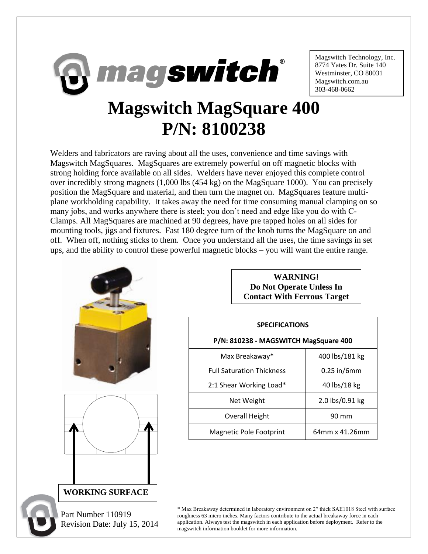

Magswitch Technology, Inc. 8774 Yates Dr. Suite 140 Westminster, CO 80031 Magswitch.com.au 303-468-0662

## **Magswitch MagSquare 400 P/N: 8100238**

Welders and fabricators are raving about all the uses, convenience and time savings with Magswitch MagSquares. MagSquares are extremely powerful on off magnetic blocks with strong holding force available on all sides. Welders have never enjoyed this complete control over incredibly strong magnets (1,000 lbs (454 kg) on the MagSquare 1000). You can precisely position the MagSquare and material, and then turn the magnet on. MagSquares feature multiplane workholding capability. It takes away the need for time consuming manual clamping on so many jobs, and works anywhere there is steel; you don't need and edge like you do with C-Clamps. All MagSquares are machined at 90 degrees, have pre tapped holes on all sides for mounting tools, jigs and fixtures. Fast 180 degree turn of the knob turns the MagSquare on and off. When off, nothing sticks to them. Once you understand all the uses, the time savings in set ups, and the ability to control these powerful magnetic blocks – you will want the entire range.



**WARNING! Do Not Operate Unless In Contact With Ferrous Target**

| <b>SPECIFICATIONS</b>                 |                 |
|---------------------------------------|-----------------|
| P/N: 810238 - MAGSWITCH MagSquare 400 |                 |
| Max Breakaway*                        | 400 lbs/181 kg  |
| <b>Full Saturation Thickness</b>      | $0.25$ in/6mm   |
| 2:1 Shear Working Load*               | 40 lbs/18 kg    |
| Net Weight                            | 2.0 lbs/0.91 kg |
| <b>Overall Height</b>                 | 90 mm           |
| Magnetic Pole Footprint               | 64mm x 41.26mm  |

\* Max Breakaway determined in laboratory environment on 2" thick SAE1018 Steel with surface roughness 63 micro inches. Many factors contribute to the actual breakaway force in each application. Always test the magswitch in each application before deployment. Refer to the magswitch information booklet for more information.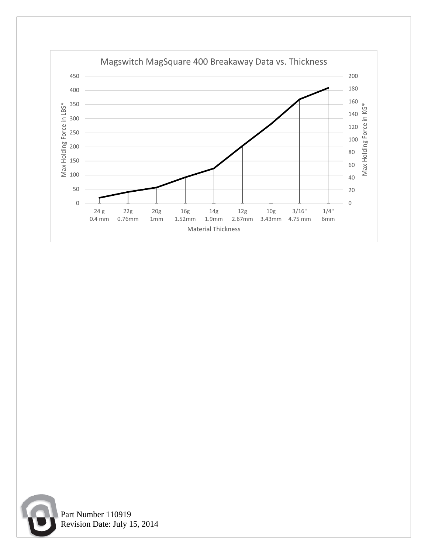